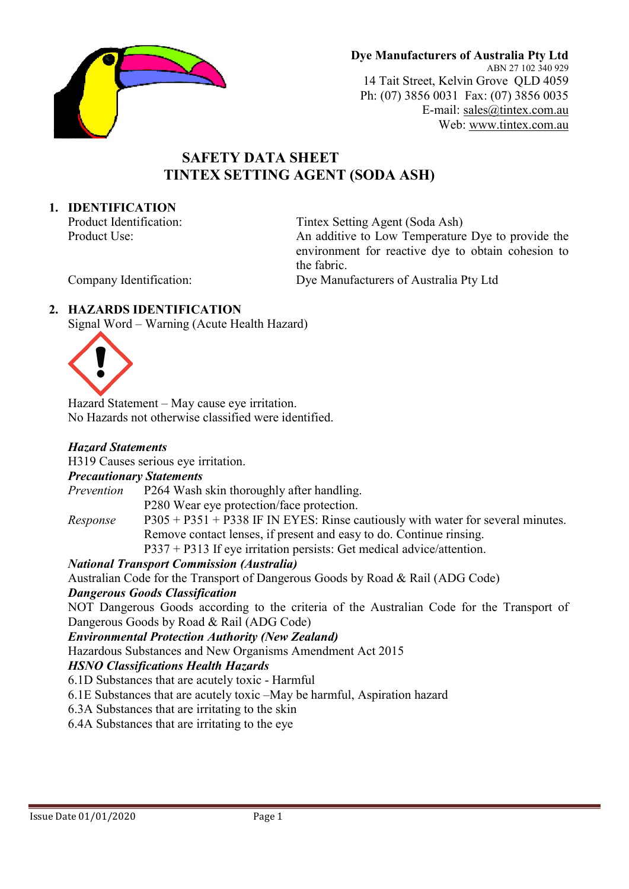

Dye Manufacturers of Australia Pty Ltd ABN 27 102 340 929 14 Tait Street, Kelvin Grove QLD 4059 Ph: (07) 3856 0031 Fax: (07) 3856 0035 E-mail: sales@tintex.com.au Web: www.tintex.com.au

# SAFETY DATA SHEET TINTEX SETTING AGENT (SODA ASH)

### 1. IDENTIFICATION

Product Identification: Tintex Setting Agent (Soda Ash) Product Use: An additive to Low Temperature Dye to provide the environment for reactive dye to obtain cohesion to the fabric. Company Identification: Dye Manufacturers of Australia Pty Ltd

## 2. HAZARDS IDENTIFICATION

Signal Word – Warning (Acute Health Hazard)



Hazard Statement – May cause eye irritation. No Hazards not otherwise classified were identified.

### Hazard Statements

H319 Causes serious eye irritation.

### Precautionary Statements

Prevention P264 Wash skin thoroughly after handling. P280 Wear eye protection/face protection.

*Response*  $P305 + P351 + P338$  IF IN EYES: Rinse cautiously with water for several minutes. Remove contact lenses, if present and easy to do. Continue rinsing.

P337 + P313 If eye irritation persists: Get medical advice/attention.

# National Transport Commission (Australia)

Australian Code for the Transport of Dangerous Goods by Road & Rail (ADG Code)

### Dangerous Goods Classification

NOT Dangerous Goods according to the criteria of the Australian Code for the Transport of Dangerous Goods by Road & Rail (ADG Code)

Environmental Protection Authority (New Zealand)

Hazardous Substances and New Organisms Amendment Act 2015

### HSNO Classifications Health Hazards

6.1D Substances that are acutely toxic - Harmful

6.1E Substances that are acutely toxic –May be harmful, Aspiration hazard

6.3A Substances that are irritating to the skin

6.4A Substances that are irritating to the eye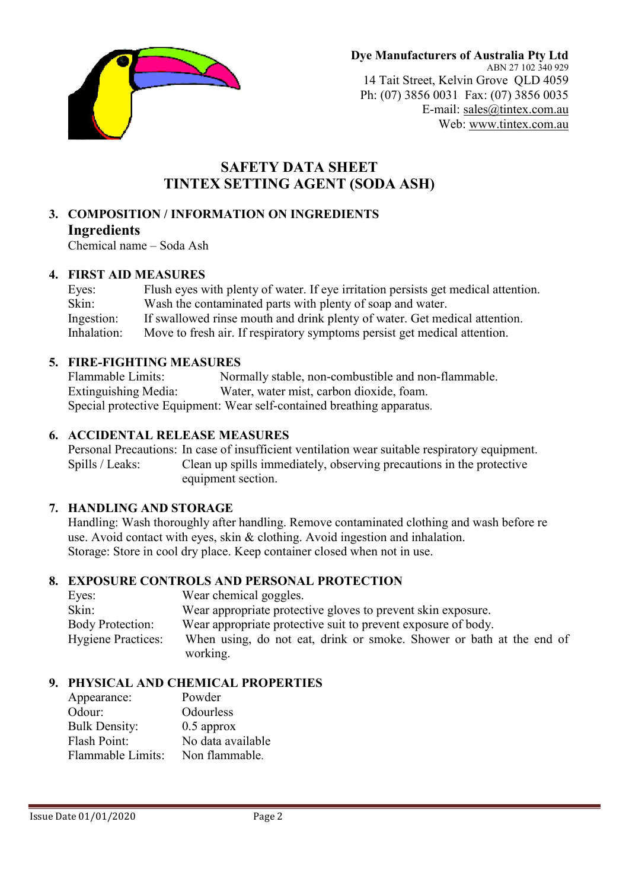

# SAFETY DATA SHEET TINTEX SETTING AGENT (SODA ASH)

### 3. COMPOSITION / INFORMATION ON INGREDIENTS Ingredients

Chemical name – Soda Ash

## 4. FIRST AID MEASURES

Eyes: Flush eyes with plenty of water. If eye irritation persists get medical attention. Skin: Wash the contaminated parts with plenty of soap and water. Ingestion: If swallowed rinse mouth and drink plenty of water. Get medical attention. Inhalation: Move to fresh air. If respiratory symptoms persist get medical attention.

# 5. FIRE-FIGHTING MEASURES

Flammable Limits: Normally stable, non-combustible and non-flammable. Extinguishing Media: Water, water mist, carbon dioxide, foam. Special protective Equipment: Wear self-contained breathing apparatus.

# 6. ACCIDENTAL RELEASE MEASURES

Personal Precautions: In case of insufficient ventilation wear suitable respiratory equipment. Spills / Leaks: Clean up spills immediately, observing precautions in the protective equipment section.

# 7. HANDLING AND STORAGE

Handling: Wash thoroughly after handling. Remove contaminated clothing and wash before re use. Avoid contact with eyes, skin & clothing. Avoid ingestion and inhalation. Storage: Store in cool dry place. Keep container closed when not in use.

# 8. EXPOSURE CONTROLS AND PERSONAL PROTECTION

| Eyes:                     | Wear chemical goggles.                                               |
|---------------------------|----------------------------------------------------------------------|
| Skin:                     | Wear appropriate protective gloves to prevent skin exposure.         |
| <b>Body Protection:</b>   | Wear appropriate protective suit to prevent exposure of body.        |
| <b>Hygiene Practices:</b> | When using, do not eat, drink or smoke. Shower or bath at the end of |
|                           | working.                                                             |

# 9. PHYSICAL AND CHEMICAL PROPERTIES

| Appearance:          | Powder            |
|----------------------|-------------------|
| Odour:               | Odourless         |
| <b>Bulk Density:</b> | $0.5$ approx      |
| <b>Flash Point:</b>  | No data available |
| Flammable Limits:    | Non flammable.    |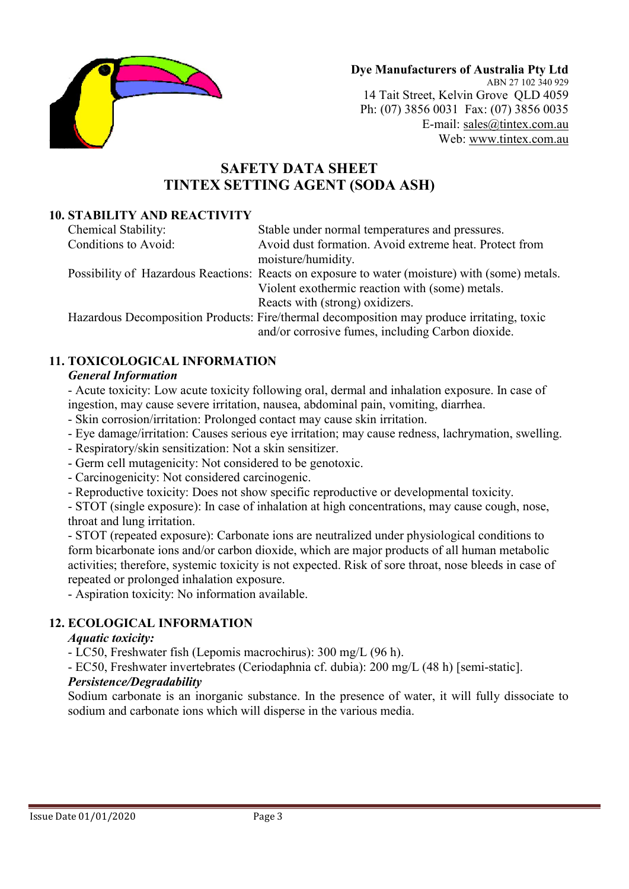

Dye Manufacturers of Australia Pty Ltd ABN 27 102 340 929 14 Tait Street, Kelvin Grove QLD 4059 Ph: (07) 3856 0031 Fax: (07) 3856 0035 E-mail: sales@tintex.com.au Web: www.tintex.com.au

# SAFETY DATA SHEET TINTEX SETTING AGENT (SODA ASH)

## 10. STABILITY AND REACTIVITY

| Chemical Stability:  | Stable under normal temperatures and pressures.                                                |
|----------------------|------------------------------------------------------------------------------------------------|
| Conditions to Avoid: | Avoid dust formation. Avoid extreme heat. Protect from                                         |
|                      | moisture/humidity.                                                                             |
|                      | Possibility of Hazardous Reactions: Reacts on exposure to water (moisture) with (some) metals. |
|                      | Violent exothermic reaction with (some) metals.                                                |
|                      | Reacts with (strong) oxidizers.                                                                |
|                      | Hazardous Decomposition Products: Fire/thermal decomposition may produce irritating, toxic     |
|                      | and/or corrosive fumes, including Carbon dioxide.                                              |

## 11. TOXICOLOGICAL INFORMATION

### General Information

- Acute toxicity: Low acute toxicity following oral, dermal and inhalation exposure. In case of ingestion, may cause severe irritation, nausea, abdominal pain, vomiting, diarrhea.

- Skin corrosion/irritation: Prolonged contact may cause skin irritation.
- Eye damage/irritation: Causes serious eye irritation; may cause redness, lachrymation, swelling.
- Respiratory/skin sensitization: Not a skin sensitizer.
- Germ cell mutagenicity: Not considered to be genotoxic.
- Carcinogenicity: Not considered carcinogenic.
- Reproductive toxicity: Does not show specific reproductive or developmental toxicity.

- STOT (single exposure): In case of inhalation at high concentrations, may cause cough, nose, throat and lung irritation.

- STOT (repeated exposure): Carbonate ions are neutralized under physiological conditions to form bicarbonate ions and/or carbon dioxide, which are major products of all human metabolic activities; therefore, systemic toxicity is not expected. Risk of sore throat, nose bleeds in case of repeated or prolonged inhalation exposure.

- Aspiration toxicity: No information available.

### 12. ECOLOGICAL INFORMATION

#### Aquatic toxicity:

- LC50, Freshwater fish (Lepomis macrochirus): 300 mg/L (96 h).

- EC50, Freshwater invertebrates (Ceriodaphnia cf. dubia): 200 mg/L (48 h) [semi-static].

# Persistence/Degradability

Sodium carbonate is an inorganic substance. In the presence of water, it will fully dissociate to sodium and carbonate ions which will disperse in the various media.